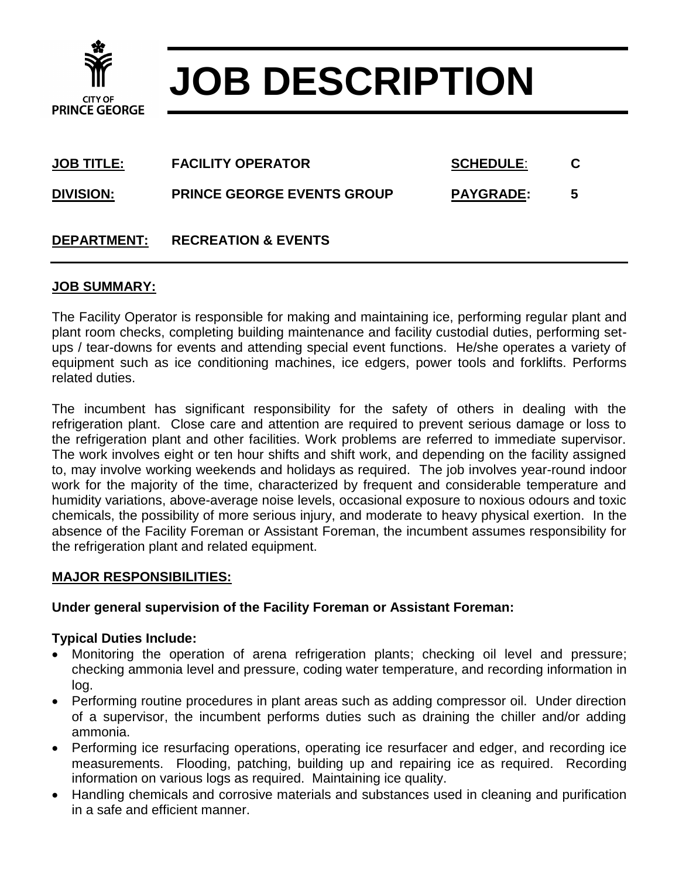

# **JOB DESCRIPTION**

| <b>JOB TITLE:</b>  | <b>FACILITY OPERATOR</b>          | <b>SCHEDULE:</b> |   |
|--------------------|-----------------------------------|------------------|---|
| <b>DIVISION:</b>   | <b>PRINCE GEORGE EVENTS GROUP</b> | <b>PAYGRADE:</b> | 5 |
| <b>DEPARTMENT:</b> | <b>RECREATION &amp; EVENTS</b>    |                  |   |

### **JOB SUMMARY:**

The Facility Operator is responsible for making and maintaining ice, performing regular plant and plant room checks, completing building maintenance and facility custodial duties, performing setups / tear-downs for events and attending special event functions. He/she operates a variety of equipment such as ice conditioning machines, ice edgers, power tools and forklifts. Performs related duties.

The incumbent has significant responsibility for the safety of others in dealing with the refrigeration plant. Close care and attention are required to prevent serious damage or loss to the refrigeration plant and other facilities. Work problems are referred to immediate supervisor. The work involves eight or ten hour shifts and shift work, and depending on the facility assigned to, may involve working weekends and holidays as required. The job involves year-round indoor work for the majority of the time, characterized by frequent and considerable temperature and humidity variations, above-average noise levels, occasional exposure to noxious odours and toxic chemicals, the possibility of more serious injury, and moderate to heavy physical exertion. In the absence of the Facility Foreman or Assistant Foreman, the incumbent assumes responsibility for the refrigeration plant and related equipment.

#### **MAJOR RESPONSIBILITIES:**

#### **Under general supervision of the Facility Foreman or Assistant Foreman:**

#### **Typical Duties Include:**

- Monitoring the operation of arena refrigeration plants; checking oil level and pressure; checking ammonia level and pressure, coding water temperature, and recording information in log.
- Performing routine procedures in plant areas such as adding compressor oil. Under direction of a supervisor, the incumbent performs duties such as draining the chiller and/or adding ammonia.
- Performing ice resurfacing operations, operating ice resurfacer and edger, and recording ice measurements. Flooding, patching, building up and repairing ice as required. Recording information on various logs as required. Maintaining ice quality.
- Handling chemicals and corrosive materials and substances used in cleaning and purification in a safe and efficient manner.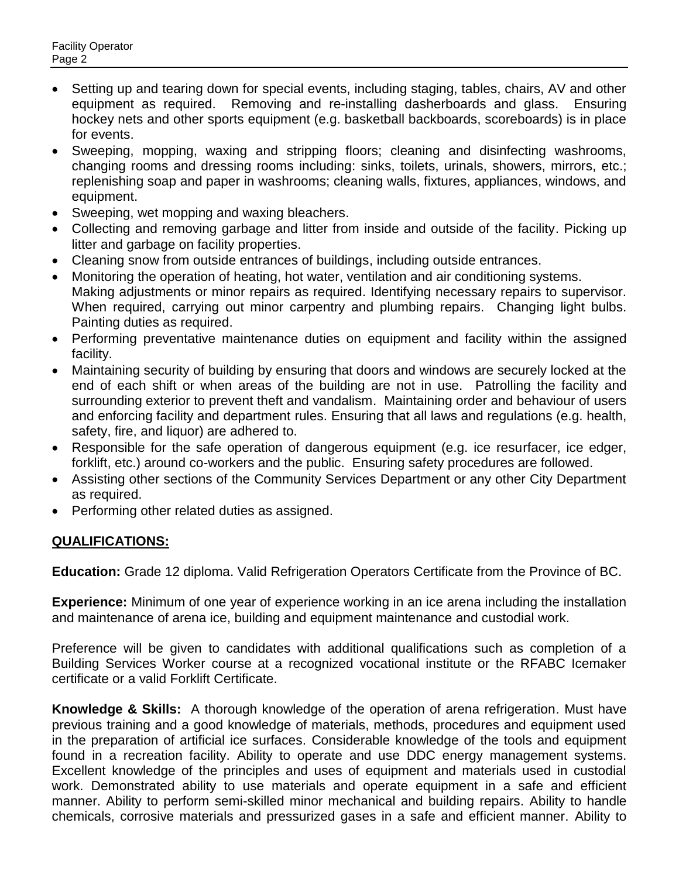- Setting up and tearing down for special events, including staging, tables, chairs, AV and other equipment as required. Removing and re-installing dasherboards and glass. Ensuring hockey nets and other sports equipment (e.g. basketball backboards, scoreboards) is in place for events.
- Sweeping, mopping, waxing and stripping floors; cleaning and disinfecting washrooms, changing rooms and dressing rooms including: sinks, toilets, urinals, showers, mirrors, etc.; replenishing soap and paper in washrooms; cleaning walls, fixtures, appliances, windows, and equipment.
- Sweeping, wet mopping and waxing bleachers.
- Collecting and removing garbage and litter from inside and outside of the facility. Picking up litter and garbage on facility properties.
- Cleaning snow from outside entrances of buildings, including outside entrances.
- Monitoring the operation of heating, hot water, ventilation and air conditioning systems. Making adjustments or minor repairs as required. Identifying necessary repairs to supervisor. When required, carrying out minor carpentry and plumbing repairs. Changing light bulbs. Painting duties as required.
- Performing preventative maintenance duties on equipment and facility within the assigned facility.
- Maintaining security of building by ensuring that doors and windows are securely locked at the end of each shift or when areas of the building are not in use. Patrolling the facility and surrounding exterior to prevent theft and vandalism. Maintaining order and behaviour of users and enforcing facility and department rules. Ensuring that all laws and regulations (e.g. health, safety, fire, and liquor) are adhered to.
- Responsible for the safe operation of dangerous equipment (e.g. ice resurfacer, ice edger, forklift, etc.) around co-workers and the public. Ensuring safety procedures are followed.
- Assisting other sections of the Community Services Department or any other City Department as required.
- Performing other related duties as assigned.

## **QUALIFICATIONS:**

**Education:** Grade 12 diploma. Valid Refrigeration Operators Certificate from the Province of BC.

**Experience:** Minimum of one year of experience working in an ice arena including the installation and maintenance of arena ice, building and equipment maintenance and custodial work.

Preference will be given to candidates with additional qualifications such as completion of a Building Services Worker course at a recognized vocational institute or the RFABC Icemaker certificate or a valid Forklift Certificate.

**Knowledge & Skills:** A thorough knowledge of the operation of arena refrigeration. Must have previous training and a good knowledge of materials, methods, procedures and equipment used in the preparation of artificial ice surfaces. Considerable knowledge of the tools and equipment found in a recreation facility. Ability to operate and use DDC energy management systems. Excellent knowledge of the principles and uses of equipment and materials used in custodial work. Demonstrated ability to use materials and operate equipment in a safe and efficient manner. Ability to perform semi-skilled minor mechanical and building repairs. Ability to handle chemicals, corrosive materials and pressurized gases in a safe and efficient manner. Ability to